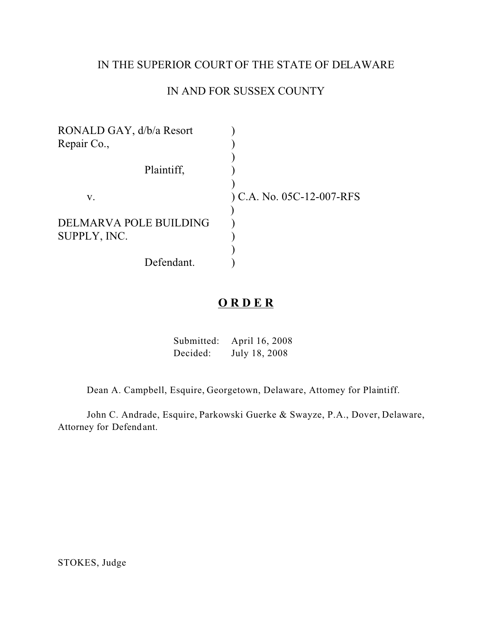### IN THE SUPERIOR COURT OF THE STATE OF DELAWARE

# IN AND FOR SUSSEX COUNTY

| $(C.A. No. 05C-12-007-RFS)$ |
|-----------------------------|
|                             |
|                             |
|                             |
|                             |
|                             |
|                             |

# **O R D E R**

| Submitted: | April 16, 2008 |
|------------|----------------|
| Decided:   | July 18, 2008  |

Dean A. Campbell, Esquire, Georgetown, Delaware, Attorney for Plaintiff.

John C. Andrade, Esquire, Parkowski Guerke & Swayze, P.A., Dover, Delaware, Attorney for Defendant.

STOKES, Judge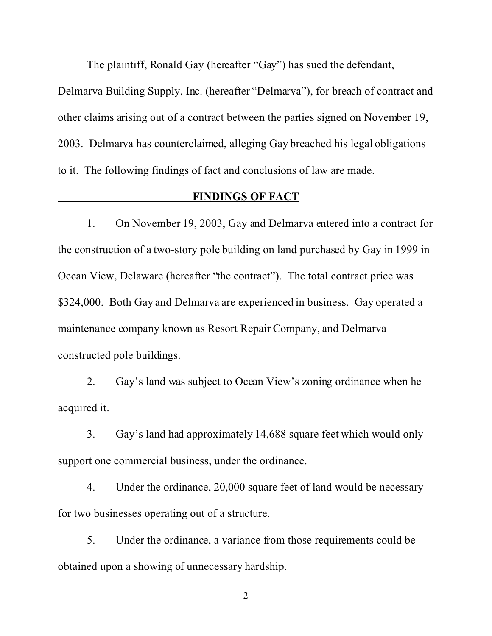The plaintiff, Ronald Gay (hereafter "Gay") has sued the defendant,

Delmarva Building Supply, Inc. (hereafter "Delmarva"), for breach of contract and other claims arising out of a contract between the parties signed on November 19, 2003. Delmarva has counterclaimed, alleging Gay breached his legal obligations to it. The following findings of fact and conclusions of law are made.

### **FINDINGS OF FACT**

1. On November 19, 2003, Gay and Delmarva entered into a contract for the construction of a two-story pole building on land purchased by Gay in 1999 in Ocean View, Delaware (hereafter "the contract"). The total contract price was \$324,000. Both Gay and Delmarva are experienced in business. Gay operated a maintenance company known as Resort Repair Company, and Delmarva constructed pole buildings.

2. Gay's land was subject to Ocean View's zoning ordinance when he acquired it.

3. Gay's land had approximately 14,688 square feet which would only support one commercial business, under the ordinance.

4. Under the ordinance, 20,000 square feet of land would be necessary for two businesses operating out of a structure.

5. Under the ordinance, a variance from those requirements could be obtained upon a showing of unnecessary hardship.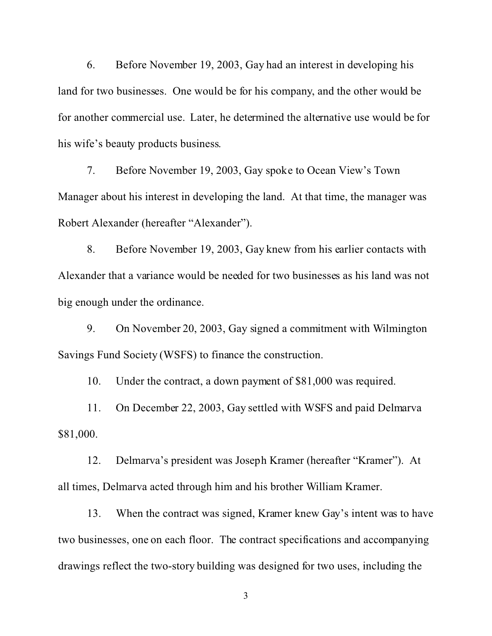6. Before November 19, 2003, Gay had an interest in developing his land for two businesses. One would be for his company, and the other would be for another commercial use. Later, he determined the alternative use would be for his wife's beauty products business.

7. Before November 19, 2003, Gay spoke to Ocean View's Town Manager about his interest in developing the land. At that time, the manager was Robert Alexander (hereafter "Alexander").

8. Before November 19, 2003, Gay knew from his earlier contacts with Alexander that a variance would be needed for two businesses as his land was not big enough under the ordinance.

9. On November 20, 2003, Gay signed a commitment with Wilmington Savings Fund Society (WSFS) to finance the construction.

10. Under the contract, a down payment of \$81,000 was required.

11. On December 22, 2003, Gay settled with WSFS and paid Delmarva \$81,000.

12. Delmarva's president was Joseph Kramer (hereafter "Kramer"). At all times, Delmarva acted through him and his brother William Kramer.

13. When the contract was signed, Kramer knew Gay's intent was to have two businesses, one on each floor. The contract specifications and accompanying drawings reflect the two-story building was designed for two uses, including the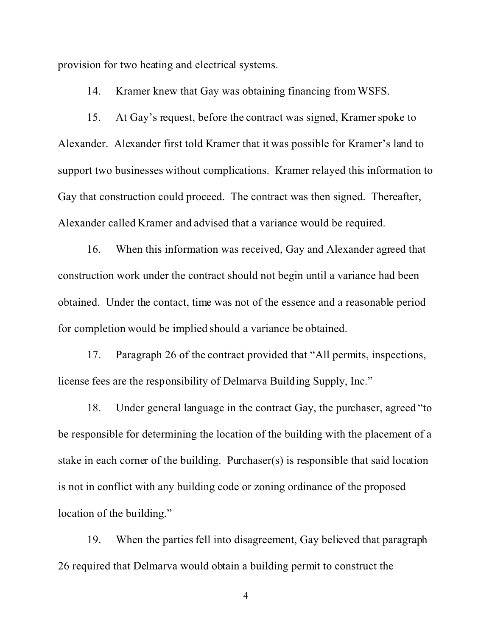provision for two heating and electrical systems.

14. Kramer knew that Gay was obtaining financing from WSFS.

15. At Gay's request, before the contract was signed, Kramer spoke to Alexander. Alexander first told Kramer that it was possible for Kramer's land to support two businesses without complications. Kramer relayed this information to Gay that construction could proceed. The contract was then signed. Thereafter, Alexander called Kramer and advised that a variance would be required.

16. When this information was received, Gay and Alexander agreed that construction work under the contract should not begin until a variance had been obtained. Under the contact, time was not of the essence and a reasonable period for completion would be implied should a variance be obtained.

17. Paragraph 26 of the contract provided that "All permits, inspections, license fees are the responsibility of Delmarva Building Supply, Inc."

18. Under general language in the contract Gay, the purchaser, agreed "to be responsible for determining the location of the building with the placement of a stake in each corner of the building. Purchaser(s) is responsible that said location is not in conflict with any building code or zoning ordinance of the proposed location of the building."

19. When the parties fell into disagreement, Gay believed that paragraph 26 required that Delmarva would obtain a building permit to construct the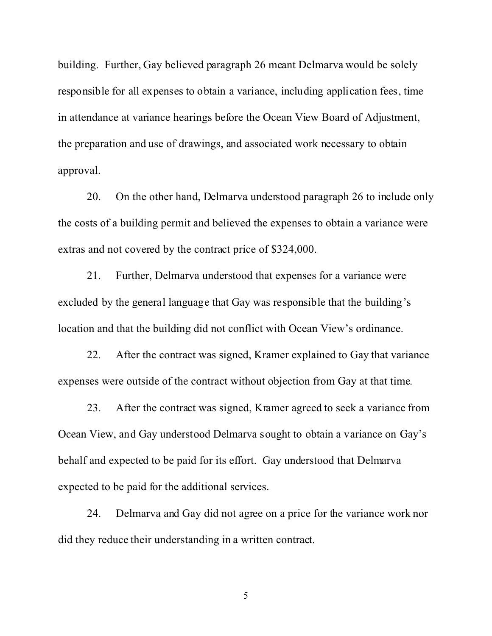building. Further, Gay believed paragraph 26 meant Delmarva would be solely responsible for all expenses to obtain a variance, including application fees, time in attendance at variance hearings before the Ocean View Board of Adjustment, the preparation and use of drawings, and associated work necessary to obtain approval.

20. On the other hand, Delmarva understood paragraph 26 to include only the costs of a building permit and believed the expenses to obtain a variance were extras and not covered by the contract price of \$324,000.

21. Further, Delmarva understood that expenses for a variance were excluded by the general language that Gay was responsible that the building's location and that the building did not conflict with Ocean View's ordinance.

22. After the contract was signed, Kramer explained to Gay that variance expenses were outside of the contract without objection from Gay at that time.

23. After the contract was signed, Kramer agreed to seek a variance from Ocean View, and Gay understood Delmarva sought to obtain a variance on Gay's behalf and expected to be paid for its effort. Gay understood that Delmarva expected to be paid for the additional services.

24. Delmarva and Gay did not agree on a price for the variance work nor did they reduce their understanding in a written contract.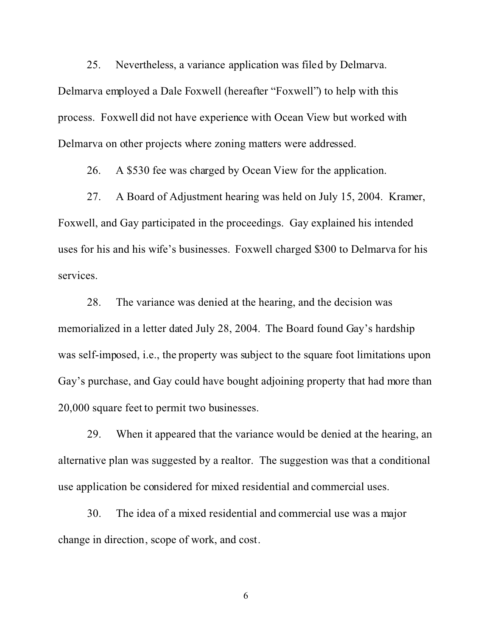25. Nevertheless, a variance application was filed by Delmarva. Delmarva employed a Dale Foxwell (hereafter "Foxwell") to help with this process. Foxwell did not have experience with Ocean View but worked with Delmarva on other projects where zoning matters were addressed.

26. A \$530 fee was charged by Ocean View for the application.

27. A Board of Adjustment hearing was held on July 15, 2004. Kramer, Foxwell, and Gay participated in the proceedings. Gay explained his intended uses for his and his wife's businesses. Foxwell charged \$300 to Delmarva for his services.

28. The variance was denied at the hearing, and the decision was memorialized in a letter dated July 28, 2004. The Board found Gay's hardship was self-imposed, i.e., the property was subject to the square foot limitations upon Gay's purchase, and Gay could have bought adjoining property that had more than 20,000 square feet to permit two businesses.

29. When it appeared that the variance would be denied at the hearing, an alternative plan was suggested by a realtor. The suggestion was that a conditional use application be considered for mixed residential and commercial uses.

30. The idea of a mixed residential and commercial use was a major change in direction, scope of work, and cost.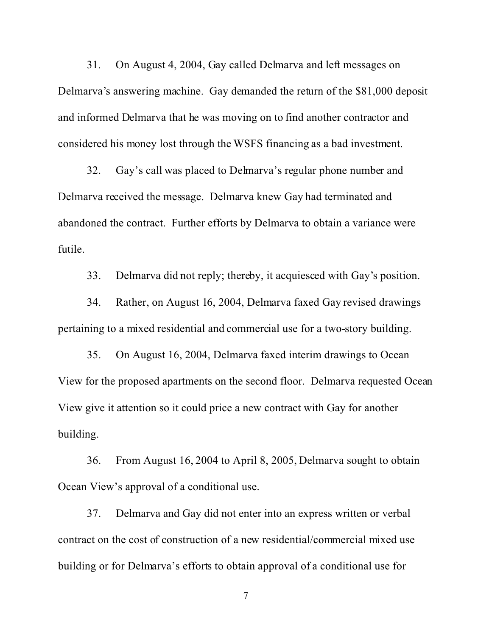31. On August 4, 2004, Gay called Delmarva and left messages on Delmarva's answering machine. Gay demanded the return of the \$81,000 deposit and informed Delmarva that he was moving on to find another contractor and considered his money lost through the WSFS financing as a bad investment.

32. Gay's call was placed to Delmarva's regular phone number and Delmarva received the message. Delmarva knew Gay had terminated and abandoned the contract. Further efforts by Delmarva to obtain a variance were futile.

33. Delmarva did not reply; thereby, it acquiesced with Gay's position.

34. Rather, on August 16, 2004, Delmarva faxed Gay revised drawings pertaining to a mixed residential and commercial use for a two-story building.

35. On August 16, 2004, Delmarva faxed interim drawings to Ocean View for the proposed apartments on the second floor. Delmarva requested Ocean View give it attention so it could price a new contract with Gay for another building.

36. From August 16, 2004 to April 8, 2005, Delmarva sought to obtain Ocean View's approval of a conditional use.

37. Delmarva and Gay did not enter into an express written or verbal contract on the cost of construction of a new residential/commercial mixed use building or for Delmarva's efforts to obtain approval of a conditional use for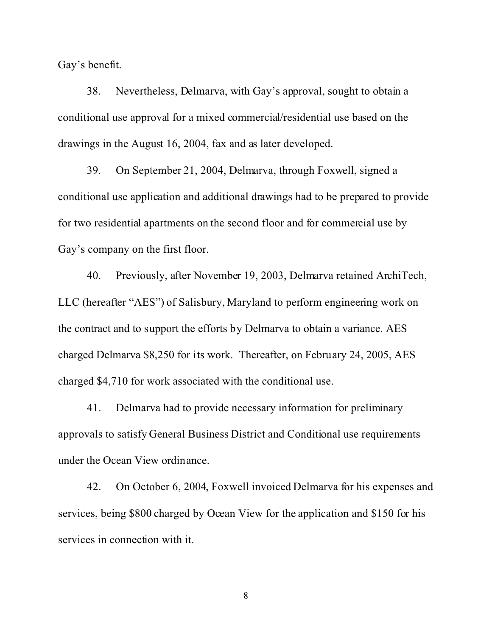Gay's benefit.

38. Nevertheless, Delmarva, with Gay's approval, sought to obtain a conditional use approval for a mixed commercial/residential use based on the drawings in the August 16, 2004, fax and as later developed.

39. On September 21, 2004, Delmarva, through Foxwell, signed a conditional use application and additional drawings had to be prepared to provide for two residential apartments on the second floor and for commercial use by Gay's company on the first floor.

40. Previously, after November 19, 2003, Delmarva retained ArchiTech, LLC (hereafter "AES") of Salisbury, Maryland to perform engineering work on the contract and to support the efforts by Delmarva to obtain a variance. AES charged Delmarva \$8,250 for its work. Thereafter, on February 24, 2005, AES charged \$4,710 for work associated with the conditional use.

41. Delmarva had to provide necessary information for preliminary approvals to satisfy General Business District and Conditional use requirements under the Ocean View ordinance.

42. On October 6, 2004, Foxwell invoiced Delmarva for his expenses and services, being \$800 charged by Ocean View for the application and \$150 for his services in connection with it.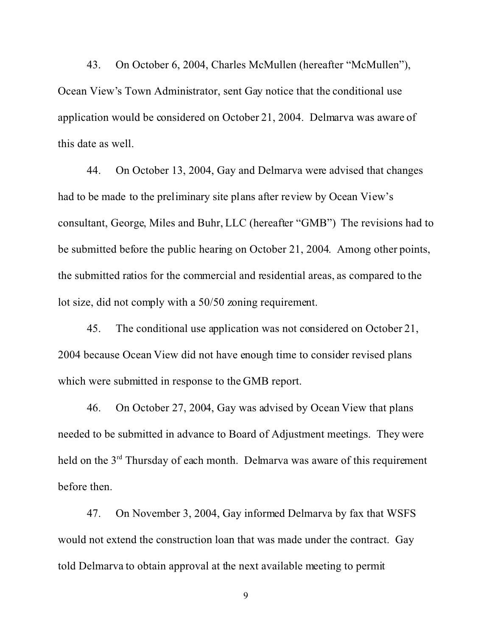43. On October 6, 2004, Charles McMullen (hereafter "McMullen"), Ocean View's Town Administrator, sent Gay notice that the conditional use application would be considered on October 21, 2004. Delmarva was aware of this date as well.

44. On October 13, 2004, Gay and Delmarva were advised that changes had to be made to the preliminary site plans after review by Ocean View's consultant, George, Miles and Buhr, LLC (hereafter "GMB") The revisions had to be submitted before the public hearing on October 21, 2004. Among other points, the submitted ratios for the commercial and residential areas, as compared to the lot size, did not comply with a 50/50 zoning requirement.

45. The conditional use application was not considered on October 21, 2004 because Ocean View did not have enough time to consider revised plans which were submitted in response to the GMB report.

46. On October 27, 2004, Gay was advised by Ocean View that plans needed to be submitted in advance to Board of Adjustment meetings. They were held on the 3<sup>rd</sup> Thursday of each month. Delmarva was aware of this requirement before then.

47. On November 3, 2004, Gay informed Delmarva by fax that WSFS would not extend the construction loan that was made under the contract. Gay told Delmarva to obtain approval at the next available meeting to permit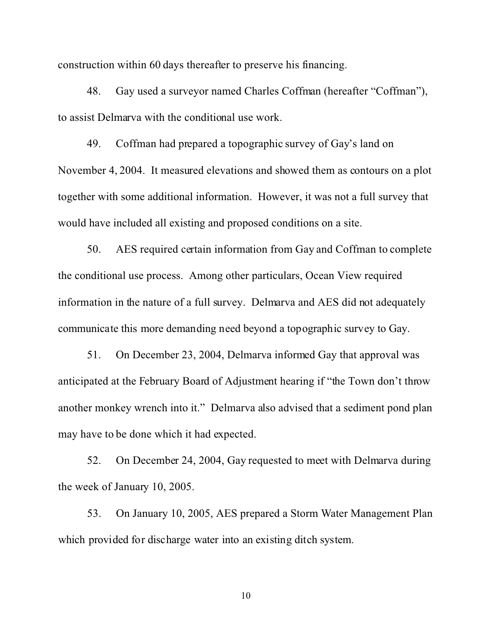construction within 60 days thereafter to preserve his financing.

48. Gay used a surveyor named Charles Coffman (hereafter "Coffman"), to assist Delmarva with the conditional use work.

49. Coffman had prepared a topographic survey of Gay's land on November 4, 2004. It measured elevations and showed them as contours on a plot together with some additional information. However, it was not a full survey that would have included all existing and proposed conditions on a site.

50. AES required certain information from Gay and Coffman to complete the conditional use process. Among other particulars, Ocean View required information in the nature of a full survey. Delmarva and AES did not adequately communicate this more demanding need beyond a topographic survey to Gay.

51. On December 23, 2004, Delmarva informed Gay that approval was anticipated at the February Board of Adjustment hearing if "the Town don't throw another monkey wrench into it." Delmarva also advised that a sediment pond plan may have to be done which it had expected.

52. On December 24, 2004, Gay requested to meet with Delmarva during the week of January 10, 2005.

53. On January 10, 2005, AES prepared a Storm Water Management Plan which provided for discharge water into an existing ditch system.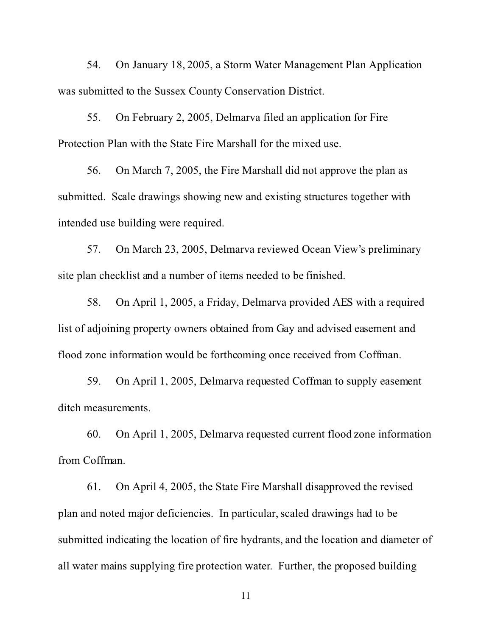54. On January 18, 2005, a Storm Water Management Plan Application was submitted to the Sussex County Conservation District.

55. On February 2, 2005, Delmarva filed an application for Fire Protection Plan with the State Fire Marshall for the mixed use.

56. On March 7, 2005, the Fire Marshall did not approve the plan as submitted. Scale drawings showing new and existing structures together with intended use building were required.

57. On March 23, 2005, Delmarva reviewed Ocean View's preliminary site plan checklist and a number of items needed to be finished.

58. On April 1, 2005, a Friday, Delmarva provided AES with a required list of adjoining property owners obtained from Gay and advised easement and flood zone information would be forthcoming once received from Coffman.

59. On April 1, 2005, Delmarva requested Coffman to supply easement ditch measurements.

60. On April 1, 2005, Delmarva requested current flood zone information from Coffman.

61. On April 4, 2005, the State Fire Marshall disapproved the revised plan and noted major deficiencies. In particular, scaled drawings had to be submitted indicating the location of fire hydrants, and the location and diameter of all water mains supplying fire protection water. Further, the proposed building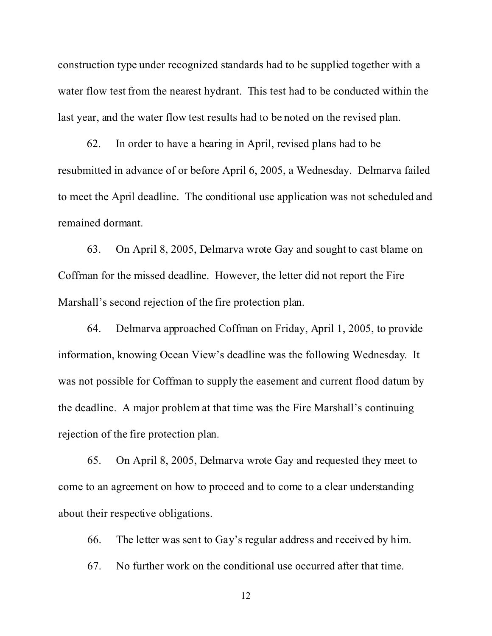construction type under recognized standards had to be supplied together with a water flow test from the nearest hydrant. This test had to be conducted within the last year, and the water flow test results had to be noted on the revised plan.

62. In order to have a hearing in April, revised plans had to be resubmitted in advance of or before April 6, 2005, a Wednesday. Delmarva failed to meet the April deadline. The conditional use application was not scheduled and remained dormant.

63. On April 8, 2005, Delmarva wrote Gay and sought to cast blame on Coffman for the missed deadline. However, the letter did not report the Fire Marshall's second rejection of the fire protection plan.

64. Delmarva approached Coffman on Friday, April 1, 2005, to provide information, knowing Ocean View's deadline was the following Wednesday. It was not possible for Coffman to supply the easement and current flood datum by the deadline. A major problem at that time was the Fire Marshall's continuing rejection of the fire protection plan.

65. On April 8, 2005, Delmarva wrote Gay and requested they meet to come to an agreement on how to proceed and to come to a clear understanding about their respective obligations.

66. The letter was sent to Gay's regular address and received by him.

67. No further work on the conditional use occurred after that time.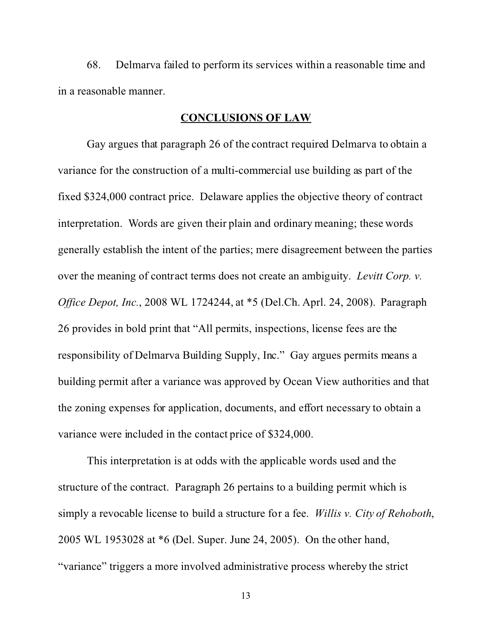68. Delmarva failed to perform its services within a reasonable time and in a reasonable manner.

### **CONCLUSIONS OF LAW**

Gay argues that paragraph 26 of the contract required Delmarva to obtain a variance for the construction of a multi-commercial use building as part of the fixed \$324,000 contract price. Delaware applies the objective theory of contract interpretation. Words are given their plain and ordinary meaning; these words generally establish the intent of the parties; mere disagreement between the parties over the meaning of contract terms does not create an ambiguity. *Levitt Corp. v. Office Depot, Inc.*, 2008 WL 1724244, at \*5 (Del.Ch. Aprl. 24, 2008). Paragraph 26 provides in bold print that "All permits, inspections, license fees are the responsibility of Delmarva Building Supply, Inc." Gay argues permits means a building permit after a variance was approved by Ocean View authorities and that the zoning expenses for application, documents, and effort necessary to obtain a variance were included in the contact price of \$324,000.

This interpretation is at odds with the applicable words used and the structure of the contract. Paragraph 26 pertains to a building permit which is simply a revocable license to build a structure for a fee. *Willis v. City of Rehoboth*, 2005 WL 1953028 at \*6 (Del. Super. June 24, 2005). On the other hand, "variance" triggers a more involved administrative process whereby the strict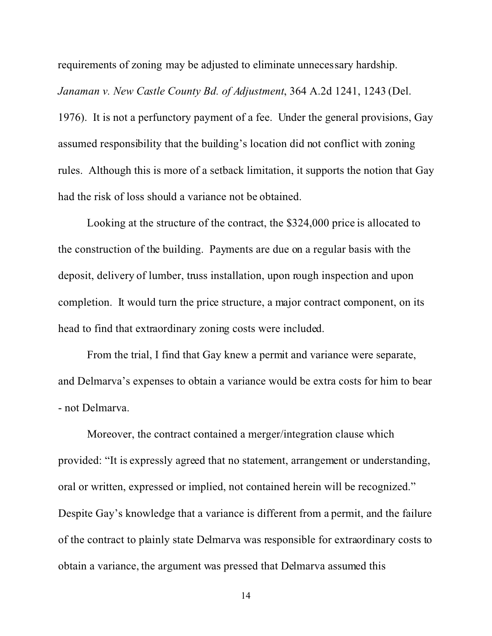requirements of zoning may be adjusted to eliminate unnecessary hardship.

*Janaman v. New Castle County Bd. of Adjustment*, 364 A.2d 1241, 1243 (Del. 1976). It is not a perfunctory payment of a fee. Under the general provisions, Gay assumed responsibility that the building's location did not conflict with zoning rules. Although this is more of a setback limitation, it supports the notion that Gay had the risk of loss should a variance not be obtained.

Looking at the structure of the contract, the \$324,000 price is allocated to the construction of the building. Payments are due on a regular basis with the deposit, delivery of lumber, truss installation, upon rough inspection and upon completion. It would turn the price structure, a major contract component, on its head to find that extraordinary zoning costs were included.

From the trial, I find that Gay knew a permit and variance were separate, and Delmarva's expenses to obtain a variance would be extra costs for him to bear - not Delmarva.

Moreover, the contract contained a merger/integration clause which provided: "It is expressly agreed that no statement, arrangement or understanding, oral or written, expressed or implied, not contained herein will be recognized." Despite Gay's knowledge that a variance is different from a permit, and the failure of the contract to plainly state Delmarva was responsible for extraordinary costs to obtain a variance, the argument was pressed that Delmarva assumed this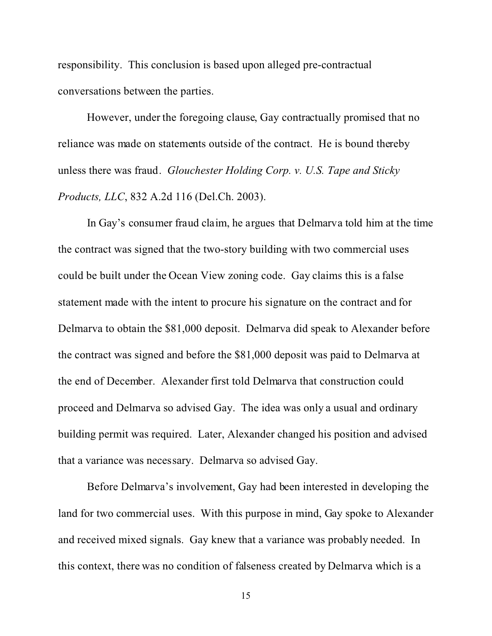responsibility. This conclusion is based upon alleged pre-contractual conversations between the parties.

However, under the foregoing clause, Gay contractually promised that no reliance was made on statements outside of the contract. He is bound thereby unless there was fraud. *Glouchester Holding Corp. v. U.S. Tape and Sticky Products, LLC*, 832 A.2d 116 (Del.Ch. 2003).

In Gay's consumer fraud claim, he argues that Delmarva told him at the time the contract was signed that the two-story building with two commercial uses could be built under the Ocean View zoning code. Gay claims this is a false statement made with the intent to procure his signature on the contract and for Delmarva to obtain the \$81,000 deposit. Delmarva did speak to Alexander before the contract was signed and before the \$81,000 deposit was paid to Delmarva at the end of December. Alexander first told Delmarva that construction could proceed and Delmarva so advised Gay. The idea was only a usual and ordinary building permit was required. Later, Alexander changed his position and advised that a variance was necessary. Delmarva so advised Gay.

Before Delmarva's involvement, Gay had been interested in developing the land for two commercial uses. With this purpose in mind, Gay spoke to Alexander and received mixed signals. Gay knew that a variance was probably needed. In this context, there was no condition of falseness created by Delmarva which is a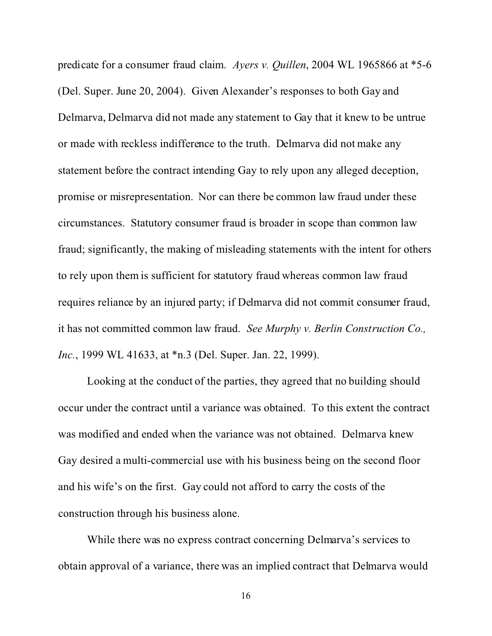predicate for a consumer fraud claim. *Ayers v. Quillen*, 2004 WL 1965866 at \*5-6 (Del. Super. June 20, 2004). Given Alexander's responses to both Gay and Delmarva, Delmarva did not made any statement to Gay that it knew to be untrue or made with reckless indifference to the truth. Delmarva did not make any statement before the contract intending Gay to rely upon any alleged deception, promise or misrepresentation. Nor can there be common law fraud under these circumstances. Statutory consumer fraud is broader in scope than common law fraud; significantly, the making of misleading statements with the intent for others to rely upon them is sufficient for statutory fraud whereas common law fraud requires reliance by an injured party; if Delmarva did not commit consumer fraud, it has not committed common law fraud. *See Murphy v. Berlin Construction Co., Inc.*, 1999 WL 41633, at \*n.3 (Del. Super. Jan. 22, 1999).

Looking at the conduct of the parties, they agreed that no building should occur under the contract until a variance was obtained. To this extent the contract was modified and ended when the variance was not obtained. Delmarva knew Gay desired a multi-commercial use with his business being on the second floor and his wife's on the first. Gay could not afford to carry the costs of the construction through his business alone.

While there was no express contract concerning Delmarva's services to obtain approval of a variance, there was an implied contract that Delmarva would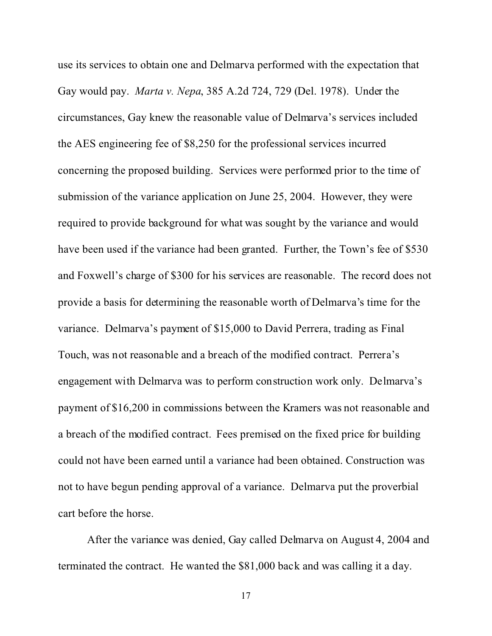use its services to obtain one and Delmarva performed with the expectation that Gay would pay. *Marta v. Nepa*, 385 A.2d 724, 729 (Del. 1978). Under the circumstances, Gay knew the reasonable value of Delmarva's services included the AES engineering fee of \$8,250 for the professional services incurred concerning the proposed building. Services were performed prior to the time of submission of the variance application on June 25, 2004. However, they were required to provide background for what was sought by the variance and would have been used if the variance had been granted. Further, the Town's fee of \$530 and Foxwell's charge of \$300 for his services are reasonable. The record does not provide a basis for determining the reasonable worth of Delmarva's time for the variance. Delmarva's payment of \$15,000 to David Perrera, trading as Final Touch, was not reasonable and a breach of the modified contract. Perrera's engagement with Delmarva was to perform construction work only. Delmarva's payment of \$16,200 in commissions between the Kramers was not reasonable and a breach of the modified contract. Fees premised on the fixed price for building could not have been earned until a variance had been obtained. Construction was not to have begun pending approval of a variance. Delmarva put the proverbial cart before the horse.

After the variance was denied, Gay called Delmarva on August 4, 2004 and terminated the contract. He wanted the \$81,000 back and was calling it a day.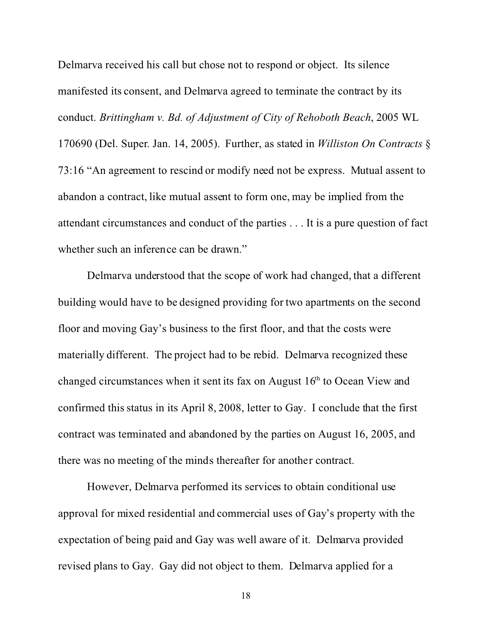Delmarva received his call but chose not to respond or object. Its silence manifested its consent, and Delmarva agreed to terminate the contract by its conduct. *Brittingham v. Bd. of Adjustment of City of Rehoboth Beach*, 2005 WL 170690 (Del. Super. Jan. 14, 2005). Further, as stated in *Williston On Contracts* § 73:16 "An agreement to rescind or modify need not be express. Mutual assent to abandon a contract, like mutual assent to form one, may be implied from the attendant circumstances and conduct of the parties . . . It is a pure question of fact whether such an inference can be drawn."

Delmarva understood that the scope of work had changed, that a different building would have to be designed providing for two apartments on the second floor and moving Gay's business to the first floor, and that the costs were materially different. The project had to be rebid. Delmarva recognized these changed circumstances when it sent its fax on August  $16<sup>th</sup>$  to Ocean View and confirmed this status in its April 8, 2008, letter to Gay. I conclude that the first contract was terminated and abandoned by the parties on August 16, 2005, and there was no meeting of the minds thereafter for another contract.

However, Delmarva performed its services to obtain conditional use approval for mixed residential and commercial uses of Gay's property with the expectation of being paid and Gay was well aware of it. Delmarva provided revised plans to Gay. Gay did not object to them. Delmarva applied for a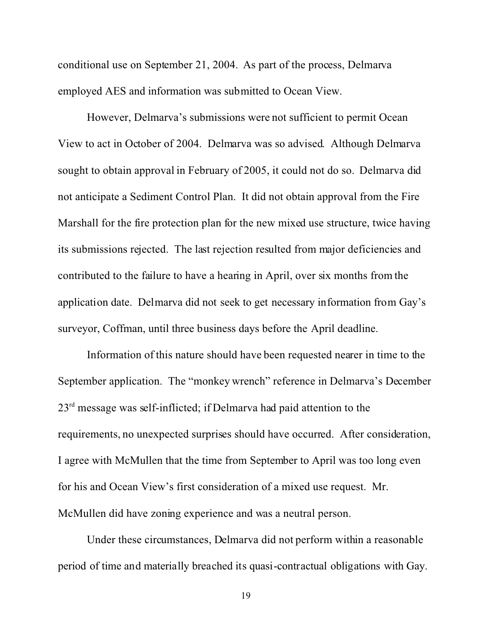conditional use on September 21, 2004. As part of the process, Delmarva employed AES and information was submitted to Ocean View.

However, Delmarva's submissions were not sufficient to permit Ocean View to act in October of 2004. Delmarva was so advised. Although Delmarva sought to obtain approval in February of 2005, it could not do so. Delmarva did not anticipate a Sediment Control Plan. It did not obtain approval from the Fire Marshall for the fire protection plan for the new mixed use structure, twice having its submissions rejected. The last rejection resulted from major deficiencies and contributed to the failure to have a hearing in April, over six months from the application date. Delmarva did not seek to get necessary information from Gay's surveyor, Coffman, until three business days before the April deadline.

Information of this nature should have been requested nearer in time to the September application. The "monkey wrench" reference in Delmarva's December  $23<sup>rd</sup>$  message was self-inflicted; if Delmarva had paid attention to the requirements, no unexpected surprises should have occurred. After consideration, I agree with McMullen that the time from September to April was too long even for his and Ocean View's first consideration of a mixed use request. Mr. McMullen did have zoning experience and was a neutral person.

Under these circumstances, Delmarva did not perform within a reasonable period of time and materially breached its quasi-contractual obligations with Gay.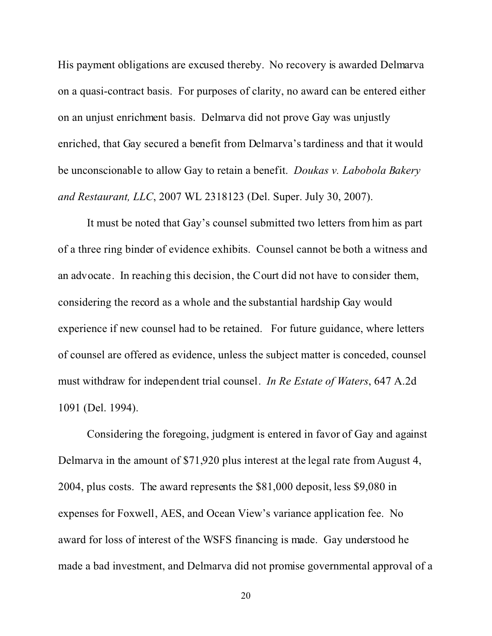His payment obligations are excused thereby. No recovery is awarded Delmarva on a quasi-contract basis. For purposes of clarity, no award can be entered either on an unjust enrichment basis. Delmarva did not prove Gay was unjustly enriched, that Gay secured a benefit from Delmarva's tardiness and that it would be unconscionable to allow Gay to retain a benefit. *Doukas v. Labobola Bakery and Restaurant, LLC*, 2007 WL 2318123 (Del. Super. July 30, 2007).

It must be noted that Gay's counsel submitted two letters from him as part of a three ring binder of evidence exhibits. Counsel cannot be both a witness and an advocate. In reaching this decision, the Court did not have to consider them, considering the record as a whole and the substantial hardship Gay would experience if new counsel had to be retained. For future guidance, where letters of counsel are offered as evidence, unless the subject matter is conceded, counsel must withdraw for independent trial counsel. *In Re Estate of Waters*, 647 A.2d 1091 (Del. 1994).

Considering the foregoing, judgment is entered in favor of Gay and against Delmarva in the amount of \$71,920 plus interest at the legal rate from August 4, 2004, plus costs. The award represents the \$81,000 deposit, less \$9,080 in expenses for Foxwell, AES, and Ocean View's variance application fee. No award for loss of interest of the WSFS financing is made. Gay understood he made a bad investment, and Delmarva did not promise governmental approval of a